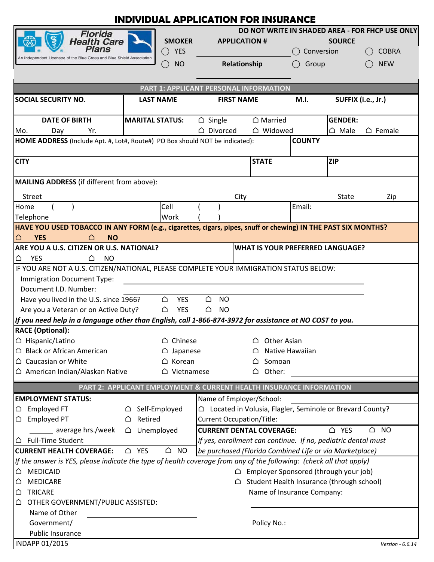| <b>INDIVIDUAL APPLICATION FOR INSURANCE</b>                                                                                                                                           |                                                  |                                                                            |                                                                      |              |                            |                      |                                         |                    |  |
|---------------------------------------------------------------------------------------------------------------------------------------------------------------------------------------|--------------------------------------------------|----------------------------------------------------------------------------|----------------------------------------------------------------------|--------------|----------------------------|----------------------|-----------------------------------------|--------------------|--|
| <b>Florida</b>                                                                                                                                                                        |                                                  |                                                                            | DO NOT WRITE IN SHADED AREA - FOR FHCP USE ONLY                      |              |                            |                      |                                         |                    |  |
| <b>Health Care</b>                                                                                                                                                                    |                                                  | <b>SMOKER</b>                                                              | <b>APPLICATION #</b>                                                 |              |                            | <b>SOURCE</b>        |                                         |                    |  |
| Plans                                                                                                                                                                                 |                                                  | <b>YES</b><br>$\bigcirc$                                                   |                                                                      |              |                            | $\bigcap$ Conversion |                                         | <b>COBRA</b>       |  |
| An Independent Licensee of the Blue Cross and Blue Shield Association                                                                                                                 |                                                  | <b>NO</b><br>$\hat{ }$ )                                                   |                                                                      | Relationship |                            | Group                |                                         | <b>NEW</b>         |  |
|                                                                                                                                                                                       |                                                  |                                                                            |                                                                      |              |                            |                      |                                         |                    |  |
| PART 1: APPLICANT PERSONAL INFORMATION                                                                                                                                                |                                                  |                                                                            |                                                                      |              |                            |                      |                                         |                    |  |
| <b>SOCIAL SECURITY NO.</b>                                                                                                                                                            |                                                  | <b>LAST NAME</b>                                                           | <b>FIRST NAME</b>                                                    |              |                            | M.I.                 |                                         | SUFFIX (i.e., Jr.) |  |
|                                                                                                                                                                                       |                                                  |                                                                            |                                                                      |              |                            |                      |                                         |                    |  |
| <b>DATE OF BIRTH</b>                                                                                                                                                                  |                                                  | <b>MARITAL STATUS:</b>                                                     | $\triangle$ Single                                                   |              | $\triangle$ Married        |                      | <b>GENDER:</b>                          |                    |  |
| Mo.<br>Day<br>Yr.                                                                                                                                                                     |                                                  |                                                                            | △ Divorced                                                           |              | △ Widowed                  |                      | $\triangle$ Male                        | $\triangle$ Female |  |
| HOME ADDRESS (Include Apt. #, Lot#, Route#) PO Box should NOT be indicated):                                                                                                          |                                                  |                                                                            |                                                                      |              |                            | <b>COUNTY</b>        |                                         |                    |  |
|                                                                                                                                                                                       |                                                  |                                                                            |                                                                      |              |                            |                      |                                         |                    |  |
| <b>CITY</b>                                                                                                                                                                           |                                                  |                                                                            |                                                                      | <b>STATE</b> |                            |                      | <b>ZIP</b>                              |                    |  |
|                                                                                                                                                                                       |                                                  |                                                                            |                                                                      |              |                            |                      |                                         |                    |  |
| <b>MAILING ADDRESS</b> (if different from above):                                                                                                                                     |                                                  |                                                                            |                                                                      |              |                            |                      |                                         |                    |  |
| <b>Street</b>                                                                                                                                                                         |                                                  |                                                                            | City                                                                 |              |                            |                      | <b>State</b>                            | Zip                |  |
| Home                                                                                                                                                                                  |                                                  | Cell                                                                       |                                                                      |              |                            | Email:               |                                         |                    |  |
| Telephone                                                                                                                                                                             |                                                  | Work                                                                       |                                                                      |              |                            |                      |                                         |                    |  |
| HAVE YOU USED TOBACCO IN ANY FORM (e.g., cigarettes, cigars, pipes, snuff or chewing) IN THE PAST SIX MONTHS?                                                                         |                                                  |                                                                            |                                                                      |              |                            |                      |                                         |                    |  |
| <b>YES</b><br>△<br><b>NO</b><br>∩                                                                                                                                                     |                                                  |                                                                            |                                                                      |              |                            |                      |                                         |                    |  |
| ARE YOU A U.S. CITIZEN OR U.S. NATIONAL?                                                                                                                                              |                                                  |                                                                            |                                                                      |              |                            |                      | <b>WHAT IS YOUR PREFERRED LANGUAGE?</b> |                    |  |
| <b>YES</b><br><b>NO</b><br>△<br>∆                                                                                                                                                     |                                                  |                                                                            |                                                                      |              |                            |                      |                                         |                    |  |
| IF YOU ARE NOT A U.S. CITIZEN/NATIONAL, PLEASE COMPLETE YOUR IMMIGRATION STATUS BELOW:                                                                                                |                                                  |                                                                            |                                                                      |              |                            |                      |                                         |                    |  |
| Immigration Document Type:                                                                                                                                                            |                                                  |                                                                            |                                                                      |              |                            |                      |                                         |                    |  |
| Document I.D. Number:                                                                                                                                                                 |                                                  |                                                                            |                                                                      |              |                            |                      |                                         |                    |  |
| <b>NO</b><br>Have you lived in the U.S. since 1966?<br>YES<br>△<br>△                                                                                                                  |                                                  |                                                                            |                                                                      |              |                            |                      |                                         |                    |  |
| Are you a Veteran or on Active Duty?<br>△<br><b>YES</b><br>△<br><b>NO</b><br>If you need help in a language other than English, call 1-866-874-3972 for assistance at NO COST to you. |                                                  |                                                                            |                                                                      |              |                            |                      |                                         |                    |  |
|                                                                                                                                                                                       |                                                  |                                                                            |                                                                      |              |                            |                      |                                         |                    |  |
| <b>RACE (Optional):</b>                                                                                                                                                               |                                                  |                                                                            |                                                                      |              |                            |                      |                                         |                    |  |
| △ Hispanic/Latino<br>△ Black or African American                                                                                                                                      |                                                  | $\triangle$ Chinese                                                        | <b>Other Asian</b><br>Native Hawaiian                                |              |                            |                      |                                         |                    |  |
| △ Caucasian or White                                                                                                                                                                  |                                                  | $\triangle$ Japanese<br>△ Korean                                           |                                                                      | ▵<br>▵       | Somoan                     |                      |                                         |                    |  |
| △ American Indian/Alaskan Native                                                                                                                                                      |                                                  | △ Vietnamese                                                               |                                                                      | △            | Other:                     |                      |                                         |                    |  |
|                                                                                                                                                                                       |                                                  |                                                                            |                                                                      |              |                            |                      |                                         |                    |  |
| PART 2: APPLICANT EMPLOYMENT & CURRENT HEALTH INSURANCE INFORMATION                                                                                                                   |                                                  |                                                                            |                                                                      |              |                            |                      |                                         |                    |  |
| <b>EMPLOYMENT STATUS:</b>                                                                                                                                                             |                                                  |                                                                            | Name of Employer/School:                                             |              |                            |                      |                                         |                    |  |
| Employed FT<br>❏                                                                                                                                                                      | △ Self-Employed                                  |                                                                            | $\triangle$ Located in Volusia, Flagler, Seminole or Brevard County? |              |                            |                      |                                         |                    |  |
| Employed PT<br>▵                                                                                                                                                                      | Retired<br>∆                                     |                                                                            | <b>Current Occupation/Title:</b>                                     |              |                            |                      |                                         |                    |  |
| average hrs./week                                                                                                                                                                     |                                                  | △ YES<br>△ Unemployed<br><b>CURRENT DENTAL COVERAGE:</b><br>$\triangle$ NO |                                                                      |              |                            |                      |                                         |                    |  |
| <b>Full-Time Student</b><br>If yes, enrollment can continue. If no, pediatric dental must<br>❏                                                                                        |                                                  |                                                                            |                                                                      |              |                            |                      |                                         |                    |  |
| $\triangle$ NO<br><b>CURRENT HEALTH COVERAGE:</b><br>$\triangle$ YES<br>be purchased (Florida Combined Life or via Marketplace)                                                       |                                                  |                                                                            |                                                                      |              |                            |                      |                                         |                    |  |
| If the answer is YES, please indicate the type of health coverage from any of the following: (check all that apply)                                                                   |                                                  |                                                                            |                                                                      |              |                            |                      |                                         |                    |  |
| <b>MEDICAID</b><br>ല                                                                                                                                                                  | $\bigcirc$ Employer Sponsored (through your job) |                                                                            |                                                                      |              |                            |                      |                                         |                    |  |
| $\triangle$ Student Health Insurance (through school)<br><b>MEDICARE</b>                                                                                                              |                                                  |                                                                            |                                                                      |              |                            |                      |                                         |                    |  |
| <b>TRICARE</b><br>▵                                                                                                                                                                   |                                                  |                                                                            |                                                                      |              | Name of Insurance Company: |                      |                                         |                    |  |
| OTHER GOVERNMENT/PUBLIC ASSISTED:<br>▵                                                                                                                                                |                                                  |                                                                            |                                                                      |              |                            |                      |                                         |                    |  |
| Name of Other                                                                                                                                                                         |                                                  |                                                                            |                                                                      |              |                            |                      |                                         |                    |  |
| Government/                                                                                                                                                                           |                                                  |                                                                            |                                                                      |              | Policy No.:                |                      |                                         |                    |  |
| Public Insurance                                                                                                                                                                      |                                                  |                                                                            |                                                                      |              |                            |                      |                                         |                    |  |